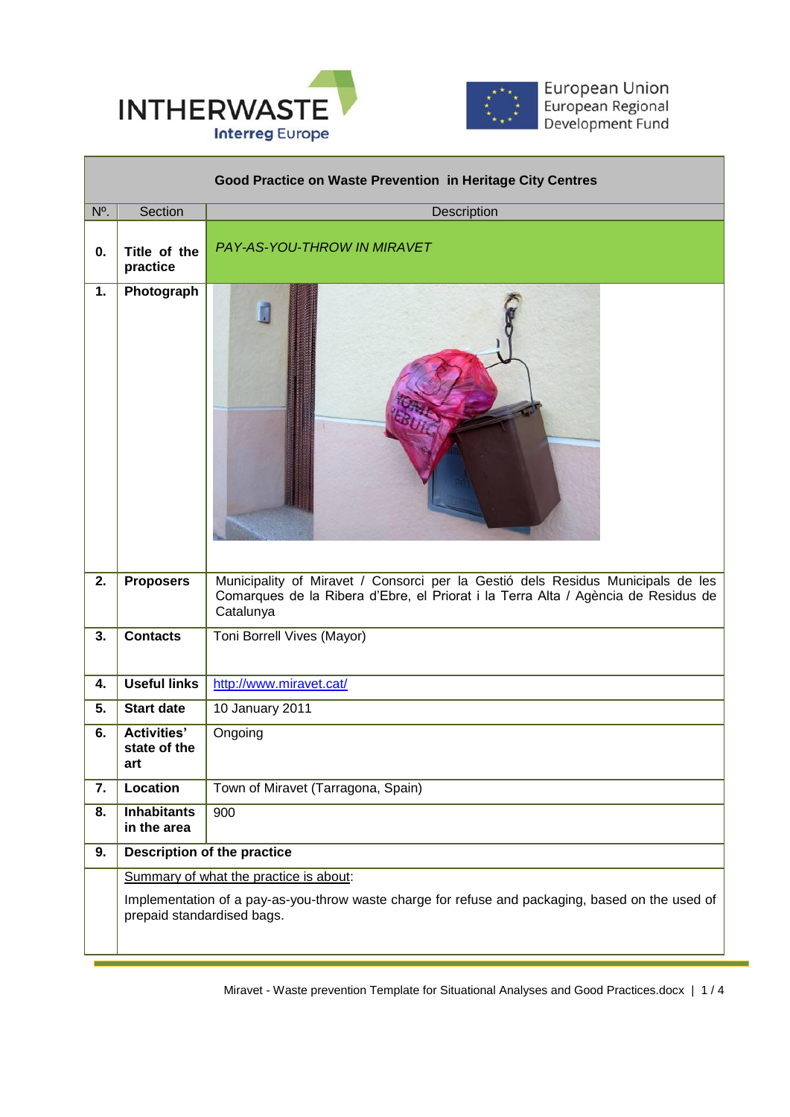

П



European Union<br>European Regional<br>Development Fund

┓

| Good Practice on Waste Prevention in Heritage City Centres |                                           |                                                                                                                                                                                   |
|------------------------------------------------------------|-------------------------------------------|-----------------------------------------------------------------------------------------------------------------------------------------------------------------------------------|
| $N^{\circ}$ .                                              | Section                                   | Description                                                                                                                                                                       |
| 0.                                                         | Title of the<br>practice                  | PAY-AS-YOU-THROW IN MIRAVET                                                                                                                                                       |
| 1.                                                         | Photograph                                |                                                                                                                                                                                   |
| 2.                                                         | <b>Proposers</b>                          | Municipality of Miravet / Consorci per la Gestió dels Residus Municipals de les<br>Comarques de la Ribera d'Ebre, el Priorat i la Terra Alta / Agència de Residus de<br>Catalunya |
| 3.                                                         | <b>Contacts</b>                           | Toni Borrell Vives (Mayor)                                                                                                                                                        |
| 4.                                                         | <b>Useful links</b>                       | http://www.miravet.cat/                                                                                                                                                           |
| 5.                                                         | <b>Start date</b>                         | 10 January 2011                                                                                                                                                                   |
| 6.                                                         | <b>Activities'</b><br>state of the<br>art | Ongoing                                                                                                                                                                           |
| 7.                                                         | Location                                  | Town of Miravet (Tarragona, Spain)                                                                                                                                                |
| 8.                                                         | <b>Inhabitants</b><br>in the area         | 900                                                                                                                                                                               |
| 9.                                                         |                                           | <b>Description of the practice</b>                                                                                                                                                |
|                                                            | Summary of what the practice is about:    |                                                                                                                                                                                   |
|                                                            | prepaid standardised bags.                | Implementation of a pay-as-you-throw waste charge for refuse and packaging, based on the used of                                                                                  |

 $\overline{a}$ 

Miravet - Waste prevention Template for Situational Analyses and Good Practices.docx | 1 / 4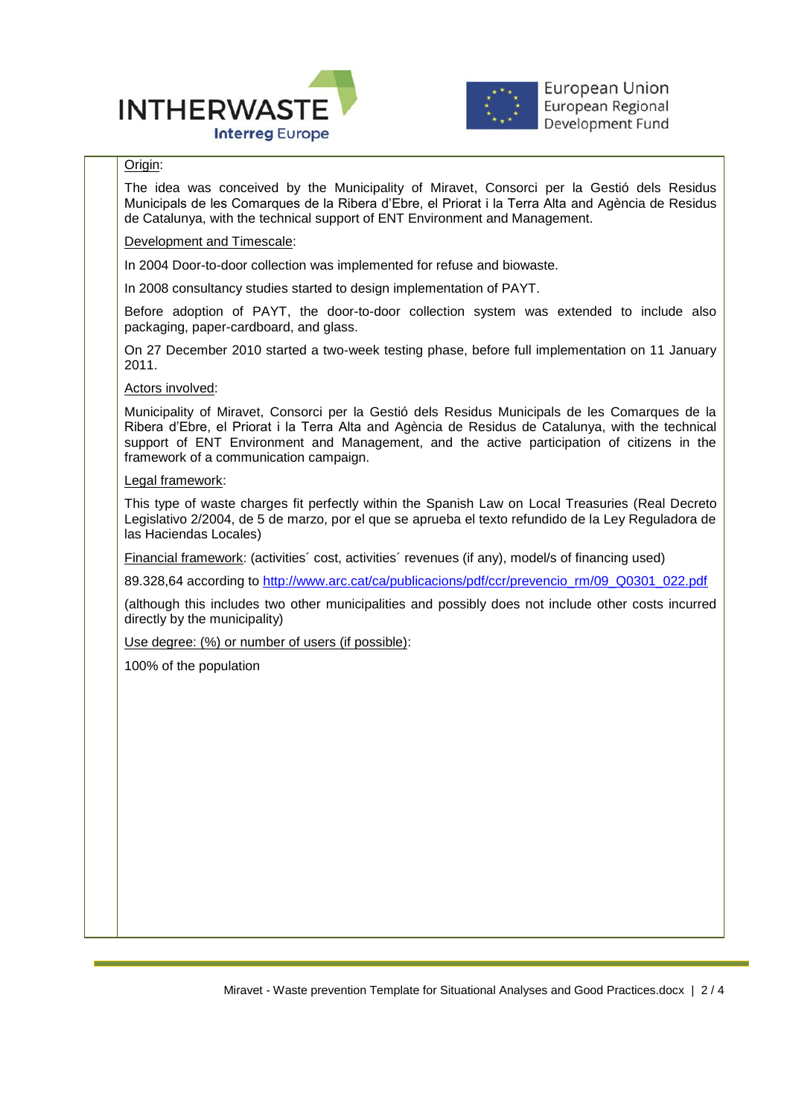



## Origin:

The idea was conceived by the Municipality of Miravet, Consorci per la Gestió dels Residus Municipals de les Comarques de la Ribera d'Ebre, el Priorat i la Terra Alta and Agència de Residus de Catalunya, with the technical support of ENT Environment and Management.

## Development and Timescale:

In 2004 Door-to-door collection was implemented for refuse and biowaste.

In 2008 consultancy studies started to design implementation of PAYT.

Before adoption of PAYT, the door-to-door collection system was extended to include also packaging, paper-cardboard, and glass.

On 27 December 2010 started a two-week testing phase, before full implementation on 11 January 2011.

Actors involved:

Municipality of Miravet, Consorci per la Gestió dels Residus Municipals de les Comarques de la Ribera d'Ebre, el Priorat i la Terra Alta and Agència de Residus de Catalunya, with the technical support of ENT Environment and Management, and the active participation of citizens in the framework of a communication campaign.

## Legal framework:

This type of waste charges fit perfectly within the Spanish Law on Local Treasuries (Real Decreto Legislativo 2/2004, de 5 de marzo, por el que se aprueba el texto refundido de la Ley Reguladora de las Haciendas Locales)

Financial framework: (activities´ cost, activities´ revenues (if any), model/s of financing used)

89.328,64 according to [http://www.arc.cat/ca/publicacions/pdf/ccr/prevencio\\_rm/09\\_Q0301\\_022.pdf](http://www.arc.cat/ca/publicacions/pdf/ccr/prevencio_rm/09_Q0301_022.pdf)

(although this includes two other municipalities and possibly does not include other costs incurred directly by the municipality)

Use degree: (%) or number of users (if possible):

100% of the population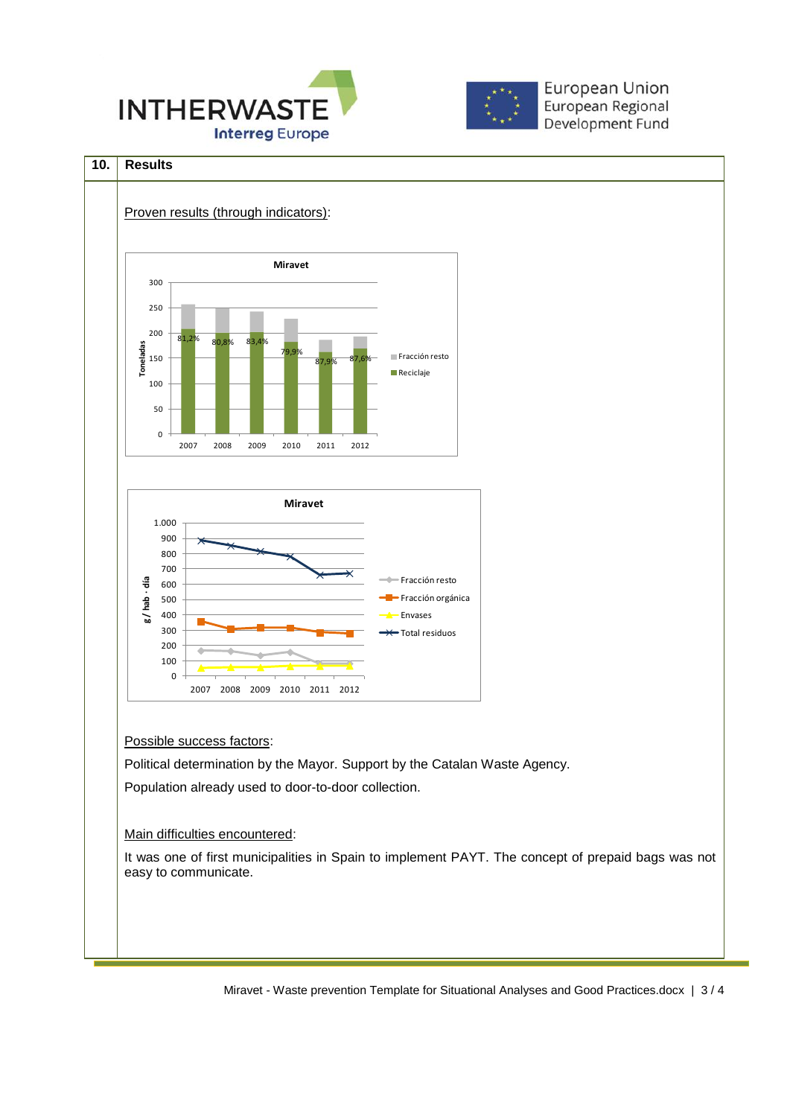



**European Union** European Regional Development Fund

## **10. Results**



Miravet - Waste prevention Template for Situational Analyses and Good Practices.docx | 3 / 4